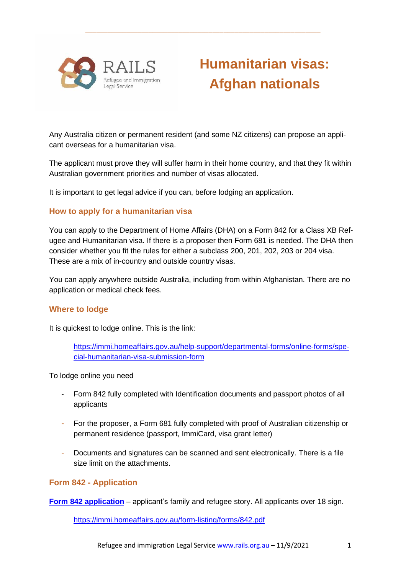

# **Humanitarian visas: Afghan nationals**

Any Australia citizen or permanent resident (and some NZ citizens) can propose an applicant overseas for a humanitarian visa.

\_\_\_\_\_\_\_\_\_\_\_\_\_\_\_\_\_\_\_\_\_\_\_\_\_\_\_\_\_\_\_\_\_\_\_\_\_\_\_\_\_\_\_\_\_\_\_\_\_\_\_\_\_\_\_\_\_\_\_\_\_\_\_

The applicant must prove they will suffer harm in their home country, and that they fit within Australian government priorities and number of visas allocated.

It is important to get legal advice if you can, before lodging an application.

## **How to apply for a humanitarian visa**

You can apply to the Department of Home Affairs (DHA) on a Form 842 for a Class XB Refugee and Humanitarian visa. If there is a proposer then Form 681 is needed. The DHA then consider whether you fit the rules for either a subclass 200, 201, 202, 203 or 204 visa. These are a mix of in-country and outside country visas.

You can apply anywhere outside Australia, including from within Afghanistan. There are no application or medical check fees.

#### **Where to lodge**

It is quickest to lodge online. This is the link:

[https://immi.homeaffairs.gov.au/help-support/departmental-forms/online-forms/spe](https://immi.homeaffairs.gov.au/help-support/departmental-forms/online-forms/special-humanitarian-visa-submission-form)[cial-humanitarian-visa-submission-form](https://immi.homeaffairs.gov.au/help-support/departmental-forms/online-forms/special-humanitarian-visa-submission-form)

To lodge online you need

- Form 842 fully completed with Identification documents and passport photos of all applicants
- For the proposer, a Form 681 fully completed with proof of Australian citizenship or permanent residence (passport, ImmiCard, visa grant letter)
- Documents and signatures can be scanned and sent electronically. There is a file size limit on the attachments.

#### **Form 842 - Application**

**Form 842 [application](https://immi.homeaffairs.gov.au/form-listing/forms/842.pdf)** – applicant's family and refugee story. All applicants over 18 sign.

<https://immi.homeaffairs.gov.au/form-listing/forms/842.pdf>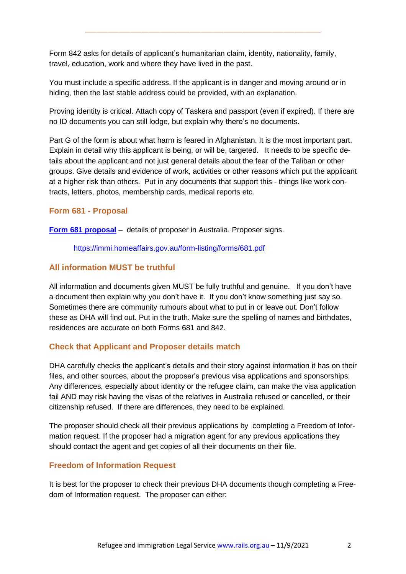Form 842 asks for details of applicant's humanitarian claim, identity, nationality, family, travel, education, work and where they have lived in the past.

\_\_\_\_\_\_\_\_\_\_\_\_\_\_\_\_\_\_\_\_\_\_\_\_\_\_\_\_\_\_\_\_\_\_\_\_\_\_\_\_\_\_\_\_\_\_\_\_\_\_\_\_\_\_\_\_\_\_\_\_\_\_\_

You must include a specific address. If the applicant is in danger and moving around or in hiding, then the last stable address could be provided, with an explanation.

Proving identity is critical. Attach copy of Taskera and passport (even if expired). If there are no ID documents you can still lodge, but explain why there's no documents.

Part G of the form is about what harm is feared in Afghanistan. It is the most important part. Explain in detail why this applicant is being, or will be, targeted. It needs to be specific details about the applicant and not just general details about the fear of the Taliban or other groups. Give details and evidence of work, activities or other reasons which put the applicant at a higher risk than others. Put in any documents that support this - things like work contracts, letters, photos, membership cards, medical reports etc.

## **Form 681 - Proposal**

**Form 681 [proposal](https://immi.homeaffairs.gov.au/form-listing/forms/681.pdf)** – details of proposer in Australia. Proposer signs.

<https://immi.homeaffairs.gov.au/form-listing/forms/681.pdf>

## **All information MUST be truthful**

All information and documents given MUST be fully truthful and genuine. If you don't have a document then explain why you don't have it. If you don't know something just say so. Sometimes there are community rumours about what to put in or leave out. Don't follow these as DHA will find out. Put in the truth. Make sure the spelling of names and birthdates, residences are accurate on both Forms 681 and 842.

## **Check that Applicant and Proposer details match**

DHA carefully checks the applicant's details and their story against information it has on their files, and other sources, about the proposer's previous visa applications and sponsorships. Any differences, especially about identity or the refugee claim, can make the visa application fail AND may risk having the visas of the relatives in Australia refused or cancelled, or their citizenship refused. If there are differences, they need to be explained.

The proposer should check all their previous applications by completing a Freedom of Information request. If the proposer had a migration agent for any previous applications they should contact the agent and get copies of all their documents on their file.

## **Freedom of Information Request**

It is best for the proposer to check their previous DHA documents though completing a Freedom of Information request. The proposer can either: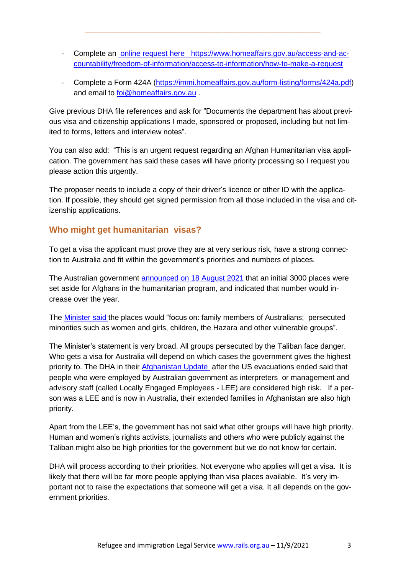- Complete an online [request](https://www.homeaffairs.gov.au/access-and-accountability/freedom-of-information/access-to-information/how-to-make-a-request) here https://www.homeaffairs.gov.au/access-and-accountability/freedom-of-information/access-to-information/how-to-make-a-request

\_\_\_\_\_\_\_\_\_\_\_\_\_\_\_\_\_\_\_\_\_\_\_\_\_\_\_\_\_\_\_\_\_\_\_\_\_\_\_\_\_\_\_\_\_\_\_\_\_\_\_\_\_\_\_\_\_\_\_\_\_\_\_

- Complete a Form 424A [\(https://immi.homeaffairs.gov.au/form-listing/forms/424a.pdf\)](https://immi.homeaffairs.gov.au/form-listing/forms/424a.pdf) and email to [foi@homeaffairs.gov.au](mailto:foi@homeaffairs.gov.au) .

Give previous DHA file references and ask for "Documents the department has about previous visa and citizenship applications I made, sponsored or proposed, including but not limited to forms, letters and interview notes".

You can also add: "This is an urgent request regarding an Afghan Humanitarian visa application. The government has said these cases will have priority processing so I request you please action this urgently.

The proposer needs to include a copy of their driver's licence or other ID with the application. If possible, they should get signed permission from all those included in the visa and citizenship applications.

## **Who might get humanitarian visas?**

To get a visa the applicant must prove they are at very serious risk, have a strong connection to Australia and fit within the government's priorities and numbers of places.

The Australian government [announced](https://minister.homeaffairs.gov.au/AlexHawke/Pages/3000-humanitarian-places-for-afghanistan.aspx) on 18 August 2021 that an initial 3000 places were set aside for Afghans in the humanitarian program, and indicated that number would increase over the year.

The [Minister](https://minister.homeaffairs.gov.au/AlexHawke/Pages/3000-humanitarian-places-for-afghanistan.aspx) said the places would "focus on: family members of Australians; persecuted minorities such as women and girls, children, the Hazara and other vulnerable groups".

The Minister's statement is very broad. All groups persecuted by the Taliban face danger. Who gets a visa for Australia will depend on which cases the government gives the highest priority to. The DHA in their [Afghanistan](https://www.homeaffairs.gov.au/help-and-support/afghanistan-update) Update after the US evacuations ended said that people who were employed by Australian government as interpreters or management and advisory staff (called Locally Engaged Employees - LEE) are considered high risk. If a person was a LEE and is now in Australia, their extended families in Afghanistan are also high priority.

Apart from the LEE's, the government has not said what other groups will have high priority. Human and women's rights activists, journalists and others who were publicly against the Taliban might also be high priorities for the government but we do not know for certain.

DHA will process according to their priorities. Not everyone who applies will get a visa. It is likely that there will be far more people applying than visa places available. It's very important not to raise the expectations that someone will get a visa. It all depends on the government priorities.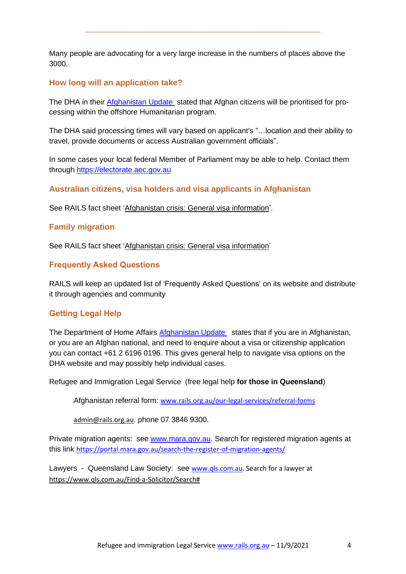Many people are advocating for a very large increase in the numbers of places above the 3000.

\_\_\_\_\_\_\_\_\_\_\_\_\_\_\_\_\_\_\_\_\_\_\_\_\_\_\_\_\_\_\_\_\_\_\_\_\_\_\_\_\_\_\_\_\_\_\_\_\_\_\_\_\_\_\_\_\_\_\_\_\_\_\_

#### **How long will an application take?**

The DHA in their [Afghanistan](https://www.homeaffairs.gov.au/help-and-support/afghanistan-update) Update stated that Afghan citizens will be prioritised for processing within the offshore Humanitarian program.

The DHA said processing times will vary based on applicant's "…location and their ability to travel, provide documents or access Australian government officials".

In some cases your local federal Member of Parliament may be able to help. Contact them through [https://electorate.aec.gov.au](https://electorate.aec.gov.au/)

**Australian citizens, visa holders and visa applicants in Afghanistan**

See RAILS fact sheet ['Afghanistan](https://www.rails.org.au/sites/default/files/2021-09/2021.09.11%20Afghanistan%20crisis%20-%20general%20visa%20informatio-%20FINAL.pdf) crisis: General visa information'.

#### **Family migration**

See RAILS fact sheet ['Afghanistan](https://www.rails.org.au/sites/default/files/2021-09/2021.09.11%20Afghanistan%20crisis%20-%20general%20visa%20informatio-%20FINAL.pdf) crisis: General visa information'

#### **Frequently Asked Questions**

RAILS will keep an updated list of 'Frequently Asked Questions' on its website and distribute it through agencies and community

#### **Getting Legal Help**

The Department of Home Affairs [Afghanistan](https://www.homeaffairs.gov.au/help-and-support/afghanistan-update) Update states that if you are in Afghanistan, or you are an Afghan national, and need to enquire about a visa or citizenship application you can contact +61 2 6196 0196. This gives general help to navigate visa options on the DHA website and may possibly help individual cases.

Refugee and Immigration Legal Service (free legal help **for those in Queensland**)

Afghanistan referral form: [www.rails.org.au/our-legal-services/referral-forms](http://www.rails.org.au/our-legal-services/referral-forms)

[admin@rails.org.au](mailto:admin@rails.org.au). phone 07 3846 9300.

Private migration agents: see [www.mara.gov.au.](http://www.mara.gov.au/) Search for registered migration agents at this link <https://portal.mara.gov.au/search-the-register-of-migration-agents/>

Lawyers - Queensland Law Society: see [www.qls.com.au.](http://www.qls.com.au/) Search for a lawyer at [https://www.qls.com.au/Find-a-Solicitor/Search#](https://www.qls.com.au/Find-a-Solicitor/Search)